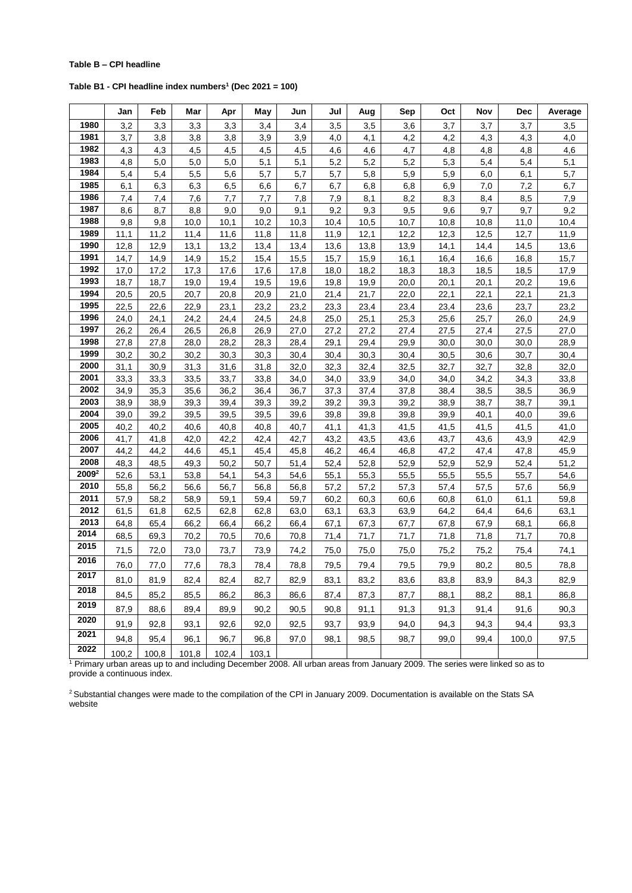## **Table B – CPI headline**

**Table B1 - CPI headline index numbers<sup>1</sup> (Dec 2021 = 100)**

|                   | Jan          | Feb          | Mar          | Apr          | May          | Jun          | Jul          | Aug          | Sep          | Oct          | Nov          | Dec          | Average      |
|-------------------|--------------|--------------|--------------|--------------|--------------|--------------|--------------|--------------|--------------|--------------|--------------|--------------|--------------|
| 1980              | 3,2          | 3,3          | 3,3          | 3,3          | 3,4          | 3,4          | 3,5          | 3,5          | 3,6          | 3,7          | 3,7          | 3,7          | 3,5          |
| 1981              | 3,7          | 3,8          | 3,8          | 3,8          | 3,9          | 3,9          | 4,0          | 4,1          | 4,2          | 4,2          | 4,3          | 4,3          | 4,0          |
| 1982              | 4,3          | 4,3          | 4,5          | 4,5          | 4,5          | 4,5          | 4,6          | 4,6          | 4,7          | 4,8          | 4,8          | 4,8          | 4,6          |
| 1983              | 4,8          | 5,0          | 5,0          | 5,0          | 5,1          | 5,1          | 5,2          | 5,2          | 5,2          | 5,3          | 5,4          | 5,4          | 5,1          |
| 1984              | 5,4          | 5,4          | 5,5          | 5,6          | 5,7          | 5,7          | 5,7          | 5,8          | 5,9          | 5,9          | 6,0          | 6,1          | 5,7          |
| 1985              | 6,1          | 6,3          | 6,3          | 6,5          | 6,6          | 6,7          | 6,7          | 6,8          | 6,8          | 6,9          | 7,0          | 7,2          | 6,7          |
| 1986              | 7,4          | 7,4          | 7,6          | 7,7          | 7,7          | 7,8          | 7,9          | 8,1          | 8,2          | 8,3          | 8,4          | 8,5          | 7,9          |
| 1987              | 8,6          | 8,7          | 8,8          | 9,0          | 9,0          | 9,1          | 9,2          | 9,3          | 9,5          | 9,6          | 9,7          | 9,7          | 9,2          |
| 1988              | 9,8          | 9,8          | 10,0         | 10,1         | 10,2         | 10,3         | 10,4         | 10,5         | 10,7         | 10,8         | 10,8         | 11,0         | 10,4         |
| 1989              | 11,1         | 11,2         | 11,4         | 11,6         | 11,8         | 11,8         | 11,9         | 12,1         | 12,2         | 12,3         | 12,5         | 12,7         | 11,9         |
| 1990              | 12,8         | 12,9         | 13,1         | 13,2         | 13,4         | 13,4         | 13,6         | 13,8         | 13,9         | 14,1         | 14,4         | 14,5         | 13,6         |
| 1991              | 14,7         | 14,9         | 14,9         | 15,2         | 15,4         | 15,5         | 15,7         | 15,9         | 16,1         | 16,4         | 16,6         | 16,8         | 15,7         |
| 1992              | 17,0         | 17,2         | 17,3         | 17,6         | 17,6         | 17,8         | 18,0         | 18,2         | 18,3         | 18,3         | 18,5         | 18,5         | 17,9         |
| 1993              | 18,7         | 18,7         | 19,0         | 19,4         | 19,5         | 19,6         | 19,8         | 19,9         | 20,0         | 20,1         | 20,1         | 20,2         | 19,6         |
| 1994              | 20,5         | 20,5         | 20,7         | 20,8         | 20,9         | 21,0         | 21,4         | 21,7         | 22,0         | 22,1         | 22,1         | 22,1         | 21,3         |
| 1995              | 22,5         | 22,6         | 22,9         | 23,1         | 23,2         | 23,2         | 23,3         | 23,4         | 23,4         | 23,4         | 23,6         | 23,7         | 23,2         |
| 1996              | 24,0         | 24,1         | 24,2         | 24,4         | 24,5         | 24,8         | 25,0         | 25,1         | 25,3         | 25,6         | 25,7         | 26,0         | 24,9         |
| 1997              | 26,2         | 26,4         | 26,5         | 26,8         | 26,9         | 27,0         | 27,2         | 27,2         | 27,4         | 27,5         | 27,4         | 27,5         | 27,0         |
| 1998<br>1999      | 27,8         | 27,8         | 28,0         | 28,2         | 28,3         | 28,4         | 29,1         | 29,4         | 29,9         | 30,0         | 30,0         | 30,0         | 28,9         |
| 2000              | 30,2         | 30,2         | 30,2         | 30,3         | 30,3         | 30,4         | 30,4         | 30,3         | 30,4         | 30,5         | 30,6         | 30,7         | 30,4         |
| 2001              | 31,1         | 30,9         | 31,3         | 31,6         | 31,8         | 32,0         | 32,3         | 32,4         | 32,5         | 32,7         | 32,7         | 32,8         | 32,0         |
| 2002              | 33,3         | 33,3         | 33,5         | 33,7         | 33,8         | 34,0         | 34,0         | 33,9         | 34,0         | 34,0         | 34,2         | 34,3         | 33,8         |
| 2003              | 34,9<br>38,9 | 35,3<br>38,9 | 35,6<br>39,3 | 36,2<br>39,4 | 36,4<br>39,3 | 36,7<br>39,2 | 37,3<br>39,2 | 37,4<br>39,3 | 37,8<br>39,2 | 38,4<br>38,9 | 38,5<br>38,7 | 38,5<br>38,7 | 36,9<br>39,1 |
| 2004              | 39,0         | 39,2         | 39,5         | 39,5         | 39,5         | 39,6         | 39,8         | 39,8         | 39,8         | 39,9         | 40,1         | 40,0         | 39,6         |
| 2005              | 40,2         | 40,2         | 40,6         | 40,8         | 40,8         | 40,7         | 41,1         | 41,3         | 41,5         | 41,5         | 41,5         | 41,5         | 41,0         |
| 2006              | 41,7         | 41,8         | 42,0         | 42,2         | 42,4         | 42,7         | 43,2         | 43,5         | 43,6         | 43,7         | 43,6         | 43,9         | 42,9         |
| 2007              | 44,2         | 44,2         | 44,6         | 45,1         | 45,4         | 45,8         | 46,2         | 46,4         | 46,8         | 47,2         | 47,4         | 47,8         | 45,9         |
| 2008              | 48,3         | 48,5         | 49,3         | 50,2         | 50,7         | 51,4         | 52,4         | 52,8         | 52,9         | 52,9         | 52,9         | 52,4         | 51,2         |
| 2009 <sup>2</sup> | 52,6         | 53,1         | 53,8         | 54,1         | 54,3         | 54,6         | 55,1         | 55,3         | 55,5         | 55,5         | 55,5         | 55,7         | 54,6         |
| 2010              | 55,8         | 56,2         | 56,6         | 56,7         | 56,8         | 56,8         | 57,2         | 57,2         | 57,3         | 57,4         | 57,5         | 57,6         | 56,9         |
| 2011              | 57,9         | 58,2         | 58,9         | 59,1         | 59,4         | 59,7         | 60,2         | 60,3         | 60,6         | 60,8         | 61,0         | 61,1         | 59,8         |
| 2012              | 61,5         | 61,8         | 62,5         | 62,8         | 62,8         | 63,0         | 63,1         | 63,3         | 63,9         | 64,2         | 64,4         | 64,6         | 63,1         |
| 2013              | 64,8         | 65,4         | 66,2         | 66,4         | 66,2         | 66,4         | 67,1         | 67,3         | 67,7         | 67,8         | 67,9         | 68,1         | 66,8         |
| 2014              | 68,5         | 69,3         | 70,2         | 70,5         | 70,6         | 70,8         | 71,4         | 71,7         | 71,7         | 71,8         | 71,8         | 71,7         | 70,8         |
| 2015              | 71,5         | 72,0         | 73,0         | 73,7         | 73,9         | 74,2         | 75,0         | 75,0         | 75,0         | 75,2         | 75,2         | 75,4         | 74,1         |
| 2016              | 76,0         | 77,0         | 77,6         | 78,3         | 78,4         | 78,8         | 79,5         | 79,4         | 79,5         | 79,9         | 80,2         | 80,5         | 78,8         |
| 2017              |              |              |              |              |              |              |              |              |              |              |              |              |              |
| 2018              | 81,0         | 81,9         | 82,4         | 82,4         | 82,7         | 82,9         | 83,1         | 83,2         | 83,6         | 83,8         | 83,9         | 84,3         | 82,9         |
|                   | 84,5         | 85,2         | 85,5         | 86,2         | 86,3         | 86,6         | 87,4         | 87,3         | 87,7         | 88,1         | 88,2         | 88,1         | 86,8         |
| 2019              | 87,9         | 88,6         | 89,4         | 89,9         | 90,2         | 90,5         | 90,8         | 91,1         | 91,3         | 91,3         | 91,4         | 91,6         | 90,3         |
| 2020              | 91,9         | 92,8         | 93,1         | 92,6         | 92,0         | 92,5         | 93,7         | 93,9         | 94,0         | 94,3         | 94,3         | 94,4         | 93,3         |
| 2021              | 94,8         | 95,4         | 96,1         | 96,7         | 96,8         | 97,0         | 98,1         | 98,5         | 98,7         | 99,0         | 99,4         | 100,0        | 97,5         |
| 2022              | 100,2        | 100,8        | 101,8        | 102,4        | 103,1        |              |              |              |              |              |              |              |              |

<sup>1</sup> Primary urban areas up to and including December 2008. All urban areas from January 2009. The series were linked so as to provide a continuous index.

<sup>2</sup> Substantial changes were made to the compilation of the CPI in January 2009. Documentation is available on the Stats SA website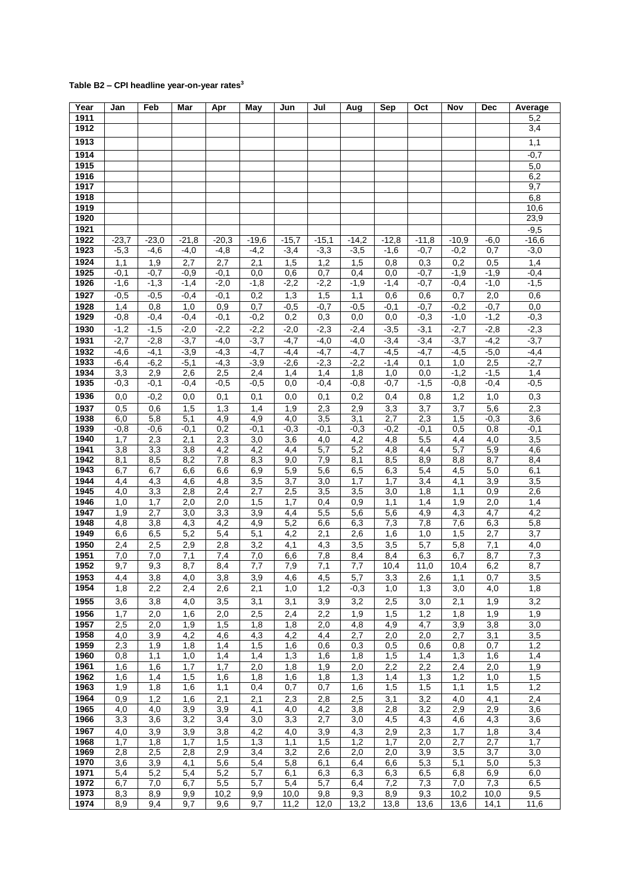## **Table B2 – CPI headline year-on-year rates<sup>3</sup>**

| Year         | Jan              | Feb              | Mar              | Apr              | May              | Jun              | Jul              | Aug              | Sep               | Oct                     | Nov              | <b>Dec</b>       | Average          |
|--------------|------------------|------------------|------------------|------------------|------------------|------------------|------------------|------------------|-------------------|-------------------------|------------------|------------------|------------------|
| 1911         |                  |                  |                  |                  |                  |                  |                  |                  |                   |                         |                  |                  | 5,2              |
| 1912         |                  |                  |                  |                  |                  |                  |                  |                  |                   |                         |                  |                  | 3,4              |
| 1913         |                  |                  |                  |                  |                  |                  |                  |                  |                   |                         |                  |                  | 1,1              |
| 1914         |                  |                  |                  |                  |                  |                  |                  |                  |                   |                         |                  |                  | $-0,7$           |
| 1915         |                  |                  |                  |                  |                  |                  |                  |                  |                   |                         |                  |                  | 5,0              |
| 1916         |                  |                  |                  |                  |                  |                  |                  |                  |                   |                         |                  |                  | 6,2              |
| 1917         |                  |                  |                  |                  |                  |                  |                  |                  |                   |                         |                  |                  | 9,7              |
| 1918         |                  |                  |                  |                  |                  |                  |                  |                  |                   |                         |                  |                  | 6,8              |
| 1919<br>1920 |                  |                  |                  |                  |                  |                  |                  |                  |                   |                         |                  |                  | 10,6<br>23,9     |
| 1921         |                  |                  |                  |                  |                  |                  |                  |                  |                   |                         |                  |                  | $-9,5$           |
| 1922         | $-23,7$          | $-23,0$          | $-21,8$          | $-20,3$          | $-19,6$          | $-15,7$          | $-15,1$          | $-14,2$          | $-12,8$           | $-11,8$                 | $-10,9$          | $-6,0$           | $-16,6$          |
| 1923         | $-5,3$           | $-4,6$           | $-4,0$           | $-4,8$           | $-4,2$           | $-3,4$           | $-3,3$           | $-3,5$           | $-1,6$            | $-0,7$                  | $-0,2$           | 0,7              | $-3,0$           |
| 1924         | 1,1              | 1,9              | 2,7              | 2,7              | 2,1              | 1,5              | 1,2              | 1,5              | 0,8               | 0,3                     | 0,2              | 0,5              | 1,4              |
| 1925         | $-0,1$           | $-0,7$           | $-0,9$           | $-0,1$           | 0,0              | 0,6              | 0,7              | 0,4              | 0,0               | $-0,7$                  | $-1,9$           | $-1,9$           | $-0,4$           |
| 1926         | $-1,6$           | $-1,3$           | $-1,4$           | $-2,0$           | $-1,8$           | $-2,2$           | $-2,2$           | $-1,9$           | $-1,4$            | $-0,7$                  | $-0,4$           | $-1,0$           | $-1,5$           |
| 1927         | $-0,5$           | $-0,5$           | $-0,4$           | $-0,1$           | 0,2              | 1,3              | 1,5              | 1,1              | 0,6               | 0,6                     | 0,7              | 2,0              | 0,6              |
| 1928         | 1,4              | 0,8              | 1,0              | 0,9              | 0,7              | $-0,5$           | $-0,7$           | $-0,5$           | $-0,1$            | $-0,7$                  | $-0,2$           | $-0,7$           | 0,0              |
| 1929         | $-0,8$           | $-0,4$           | $-0,4$           | $-0,1$           | $-0,2$           | 0,2              | 0,3              | 0,0              | 0,0               | $-0,3$                  | $-1,0$           | $-1,2$           | $-0,3$           |
| 1930         | $-1,2$           | $-1,5$           | $-2,0$           | $-2,2$           | $-2,2$           | $-2,0$           | $-2,3$           | $-2,4$           | $-3,5$            | $-3,1$                  | $-2,7$           | $-2,8$           | $-2,3$           |
| 1931         | $-2,7$           | $-2,8$           | $-3,7$           | $-4,0$           | $-3,7$           | $-4,7$           | $-4,0$           | $-4,0$           | $-3,4$            | $-3,4$                  | $-3,7$           | $-4,2$           | $-3,7$           |
| 1932         | $-4,6$           | $-4,1$           | $-3,9$           | $-4,3$           | $-4,7$           | $-4,4$           | $-4,7$           | $-4,7$           | $-4,5$            | $-4,7$                  | $-4,5$           | $-5,0$           | $-4,4$           |
| 1933         | $-6,4$           | $-6,2$           | $-5,1$           | $-4,3$           | $-3,9$           | $-2,6$           | $-2,3$           | $-2,2$           | $-1,4$            | 0,1                     | 1,0              | 2,5              | $-2,7$           |
| 1934<br>1935 | 3,3<br>$-0,3$    | 2,9<br>$-0,1$    | 2,6<br>$-0,4$    | 2,5<br>$-0,5$    | 2,4<br>$-0,5$    | 1,4<br>0,0       | 1,4<br>$-0,4$    | 1,8<br>$-0,8$    | 1,0<br>$-0,7$     | 0,0<br>$-1,5$           | $-1,2$<br>$-0,8$ | $-1,5$<br>$-0,4$ | 1,4<br>$-0,5$    |
|              |                  |                  |                  |                  |                  |                  |                  |                  |                   |                         |                  |                  |                  |
| 1936         | 0,0              | $-0,2$           | $\overline{0,0}$ | 0,1              | 0,1              | 0,0              | 0,1              | 0,2              | 0,4               | 0,8                     | 1,2              | 1,0              | 0,3              |
| 1937<br>1938 | 0,5<br>6,0       | 0,6<br>5,8       | 1,5<br>5,1       | 1,3<br>4,9       | 1,4<br>4,9       | 1,9<br>4,0       | 2,3<br>3,5       | 2,9<br>3,1       | 3,3<br>2,7        | $\overline{3,7}$<br>2,3 | 3,7<br>1,5       | 5,6<br>$-0,3$    | 2,3<br>3,6       |
| 1939         | $-0,8$           | $-0,6$           | $-0,1$           | 0,2              | $-0,1$           | $-0,3$           | $-0,1$           | $-0,3$           | $-0,2$            | $-0,1$                  | 0,5              | 0,8              | $-0,1$           |
| 1940         | 1,7              | 2,3              | 2,1              | 2,3              | 3,0              | $\overline{3,6}$ | 4,0              | 4,2              | 4,8               | 5,5                     | 4,4              | 4,0              | 3,5              |
| 1941         | $\overline{3,8}$ | 3,3              | $\overline{3,8}$ | 4,2              | 4,2              | 4,4              | 5,7              | 5,2              | 4,8               | 4,4                     | 5,7              | 5,9              | 4,6              |
| 1942         | 8,1              | 8,5              | 8,2              | 7,8              | 8,3              | 9,0              | 7,9              | 8,1              | 8,5               | 8,9                     | 8,8              | $\overline{8,7}$ | 8,4              |
| 1943         | 6,7              | 6,7              | 6,6              | 6,6              | 6,9              | 5,9              | 5,6              | 6,5              | 6,3               | 5,4                     | 4,5              | 5,0              | 6,1              |
| 1944         | 4,4              | 4,3              | 4,6              | 4,8              | $\overline{3,5}$ | $\overline{3,7}$ | 3,0              | 1,7              | 1,7               | 3,4                     | 4,1              | 3,9              | $\overline{3,5}$ |
| 1945<br>1946 | 4,0<br>1,0       | 3,3<br>1,7       | 2,8<br>2,0       | 2,4<br>2,0       | 2,7<br>1,5       | 2,5<br>1,7       | 3,5<br>0,4       | 3,5<br>0,9       | 3,0<br>1,1        | 1,8<br>1,4              | 1,1<br>1,9       | 0,9<br>2,0       | 2,6<br>1,4       |
| 1947         | 1,9              | $\overline{2,7}$ | 3,0              | $\overline{3,3}$ | $\overline{3,9}$ | 4,4              | 5,5              | 5,6              | $\overline{5,6}$  | 4,9                     | 4,3              | $\overline{4,7}$ | 4,2              |
| 1948         | 4,8              | 3,8              | 4,3              | 4,2              | 4,9              | 5,2              | 6,6              | 6,3              | 7,3               | 7,8                     | 7,6              | 6,3              | 5,8              |
| 1949         | 6,6              | 6,5              | 5,2              | 5,4              | 5,1              | 4,2              | 2,1              | 2,6              | 1,6               | 1,0                     | 1,5              | 2,7              | 3,7              |
| 1950         | 2,4              | 2,5              | 2,9              | 2,8              | 3,2              | 4,1              | 4,3              | 3,5              | 3,5               | 5,7                     | 5,8              | 7,1              | $\overline{4,0}$ |
| 1951         | 7,0              | 7,0              | 7,1              | 7,4              | 7,0              | 6,6              | 7,8              | 8,4              | 8,4               | 6,3                     | 6,7              | 8,7              | 7,3              |
| 1952         | 9,7              | 9,3              | 8,7              | 8,4              | 7,7              | 7,9              | $\overline{7,1}$ | $\overline{7,7}$ | $\overline{10,4}$ | 11,0                    | 10,4             | 6,2              | 8,7              |
| 1953         | 4,4              | 3,8              | 4,0              | 3,8              | 3,9              | 4,6              | 4,5              | 5,7              | 3,3               | 2,6                     | 1,1              | 0,7              | $\overline{3,5}$ |
| 1954         | 1,8              | 2,2              | 2,4              | 2,6              | $\overline{2,1}$ | 1,0              | 1,2              | $-0,3$           | 1,0               | 1,3                     | 3,0              | 4,0              | 1,8              |
| 1955         | 3,6              | 3,8              | 4,0              | 3,5              | 3,1              | 3,1              | 3,9              | 3,2              | 2,5               | 3,0                     | 2,1              | 1,9              | 3,2              |
| 1956         | 1,7              | 2,0              | 1,6              | 2,0              | 2,5              | 2,4              | 2,2              | 1,9              | 1,5               | 1,2                     | 1,8              | 1,9              | 1,9              |
| 1957         | 2,5              | 2,0              | 1,9              | 1,5              | 1,8              | 1,8              | 2,0              | 4,8              | 4,9               | 4,7                     | 3,9              | 3,8              | 3,0              |
| 1958<br>1959 | 4,0<br>2,3       | 3,9<br>1,9       | 4,2<br>1,8       | 4,6<br>1,4       | 4,3<br>1,5       | 4,2<br>1,6       | 4,4<br>0,6       | 2,7<br>0,3       | 2,0<br>0,5        | 2,0<br>0,6              | 2,7<br>0,8       | 3,1<br>0,7       | 3,5<br>1,2       |
| 1960         | 0,8              | 1,1              | 1,0              | 1,4              | 1,4              | 1,3              | 1,6              | 1,8              | 1,5               | 1,4                     | 1,3              | 1,6              | 1,4              |
| 1961         | 1,6              | 1,6              | 1,7              | 1,7              | 2,0              | 1,8              | 1,9              | 2,0              | 2,2               | 2,2                     | 2,4              | 2,0              | 1,9              |
| 1962         | 1,6              | 1,4              | 1,5              | 1,6              | 1,8              | 1,6              | 1,8              | 1,3              | 1,4               | 1,3                     | 1,2              | 1,0              | 1,5              |
| 1963         | 1,9              | 1,8              | 1,6              | 1,1              | 0,4              | 0,7              | 0,7              | 1,6              | 1,5               | 1,5                     | 1,1              | 1,5              | 1,2              |
| 1964         | 0,9              | 1,2              | 1,6              | 2,1              | 2,1              | 2,3              | 2,8              | 2,5              | 3,1               | 3,2                     | 4,0              | 4,1              | 2,4              |
| 1965         | 4,0              | 4,0              | 3,9              | 3,9              | 4,1              | 4,0              | 4,2              | 3,8              | 2,8               | 3,2                     | 2,9              | 2,9              | 3,6              |
| 1966         | 3,3              | 3,6              | 3,2              | 3,4              | 3,0              | 3,3              | 2,7              | 3,0              | 4,5               | 4,3                     | 4,6              | 4,3              | 3,6              |
| 1967         | 4,0              | 3,9              | 3,9              | 3,8              | 4,2              | 4,0              | 3,9              | 4,3              | 2,9               | 2,3                     | 1,7              | 1,8              | 3,4              |
| 1968         | 1,7              | 1,8              | 1,7              | 1,5              | 1,3              | 1,1              | 1,5              | 1,2              | 1,7               | 2,0                     | 2,7              | 2,7              | 1,7              |
| 1969<br>1970 | 2,8<br>3,6       | 2,5<br>3,9       | 2,8<br>4,1       | 2,9<br>5,6       | 3,4<br>5,4       | 3,2<br>5,8       | 2,6<br>6,1       | 2,0<br>6,4       | 2,0<br>6,6        | 3,9<br>5,3              | 3,5<br>5,1       | 3,7<br>5,0       | 3,0<br>5,3       |
| 1971         | 5,4              | 5,2              | 5,4              | 5,2              | 5,7              | 6,1              | 6,3              | 6,3              | 6,3               | 6,5                     | 6,8              | 6,9              | 6,0              |
| 1972         | 6,7              | 7,0              | 6,7              | 5,5              | 5,7              | 5,4              | 5,7              | 6,4              | 7,2               | 7,3                     | 7,0              | 7,3              | 6,5              |
| 1973         | 8,3              | 8,9              | 9,9              | 10,2             | 9,9              | 10,0             | 9,8              | 9,3              | 8,9               | 9,3                     | 10,2             | 10,0             | 9,5              |
| 1974         | 8,9              | 9,4              | 9,7              | 9,6              | 9,7              | 11,2             | 12,0             | 13,2             | 13,8              | 13,6                    | 13,6             | 14,1             | 11,6             |